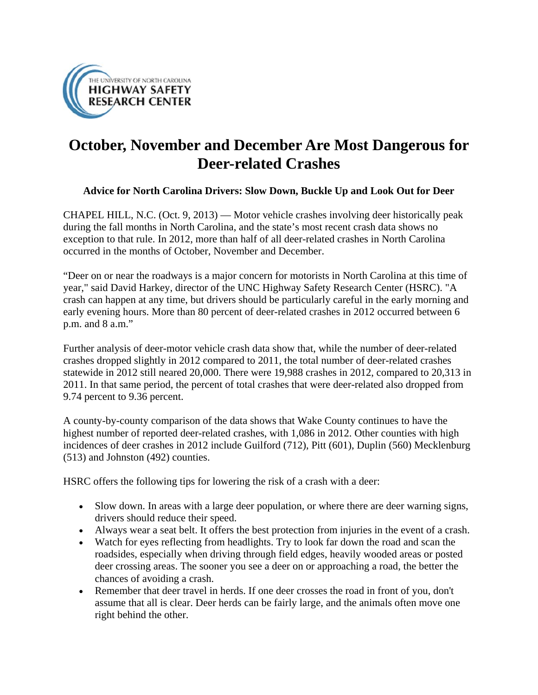

## **October, November and December Are Most Dangerous for Deer-related Crashes**

## **Advice for North Carolina Drivers: Slow Down, Buckle Up and Look Out for Deer**

CHAPEL HILL, N.C. (Oct. 9, 2013) — Motor vehicle crashes involving deer historically peak during the fall months in North Carolina, and the state's most recent crash data shows no exception to that rule. In 2012, more than half of all deer-related crashes in North Carolina occurred in the months of October, November and December.

"Deer on or near the roadways is a major concern for motorists in North Carolina at this time of year," said David Harkey, director of the UNC Highway Safety Research Center (HSRC). "A crash can happen at any time, but drivers should be particularly careful in the early morning and early evening hours. More than 80 percent of deer-related crashes in 2012 occurred between 6 p.m. and 8 a.m."

Further analysis of deer-motor vehicle crash data show that, while the number of deer-related crashes dropped slightly in 2012 compared to 2011, the total number of deer-related crashes statewide in 2012 still neared 20,000. There were 19,988 crashes in 2012, compared to 20,313 in 2011. In that same period, the percent of total crashes that were deer-related also dropped from 9.74 percent to 9.36 percent.

A county-by-county comparison of the data shows that Wake County continues to have the highest number of reported deer-related crashes, with 1,086 in 2012. Other counties with high incidences of deer crashes in 2012 include Guilford (712), Pitt (601), Duplin (560) Mecklenburg (513) and Johnston (492) counties.

HSRC offers the following tips for lowering the risk of a crash with a deer:

- Slow down. In areas with a large deer population, or where there are deer warning signs, drivers should reduce their speed.
- Always wear a seat belt. It offers the best protection from injuries in the event of a crash.
- Watch for eyes reflecting from headlights. Try to look far down the road and scan the roadsides, especially when driving through field edges, heavily wooded areas or posted deer crossing areas. The sooner you see a deer on or approaching a road, the better the chances of avoiding a crash.
- Remember that deer travel in herds. If one deer crosses the road in front of you, don't assume that all is clear. Deer herds can be fairly large, and the animals often move one right behind the other.